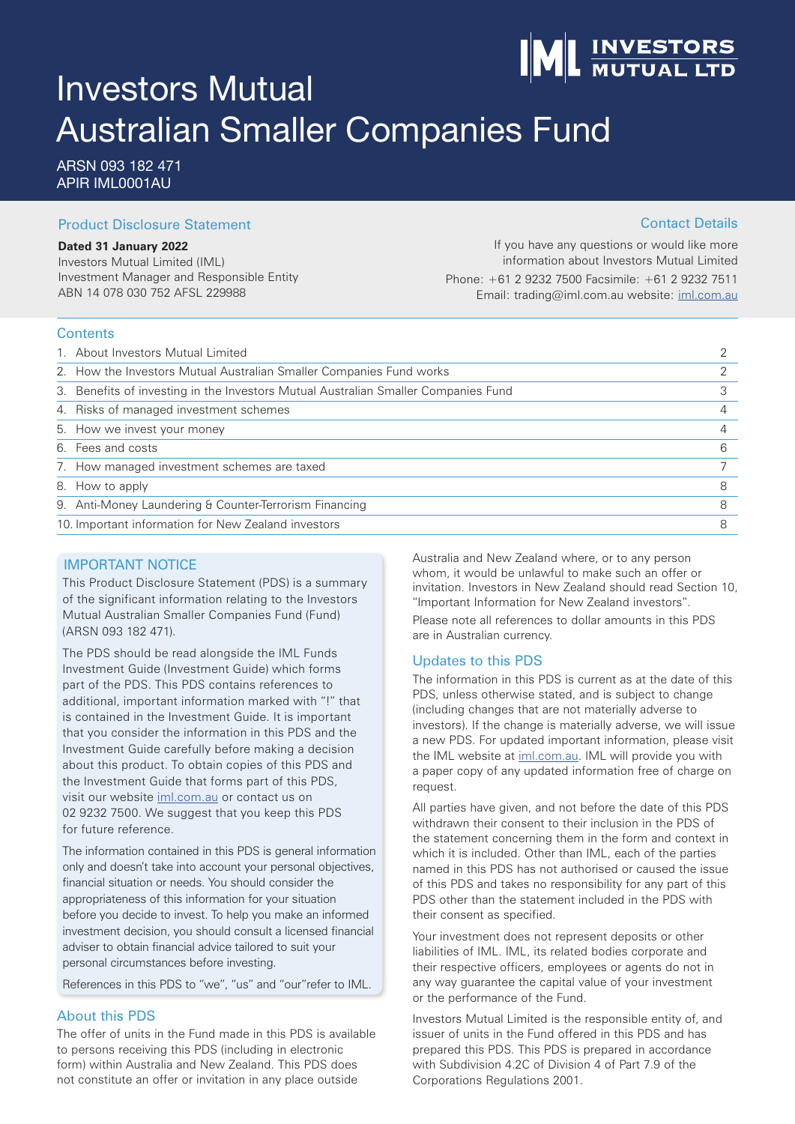# **INVESTORS**<br>MUTUAL LTD

# Investors Mutual Australian Smaller Companies Fund

ARSN 093 182 471 APIR IML0001AU

#### Product Disclosure Statement

#### **Dated 31 January 2022**

Investors Mutual Limited (IML) Investment Manager and Responsible Entity ABN 14 078 030 752 AFSL 229988

If you have any questions or would like more information about Investors Mutual Limited Phone: +61 2 9232 7500 Facsimile: +61 2 9232 7511 Email: trading@iml.com.au website: iml.com.au

#### **Contents**

| 1. About Investors Mutual Limited                                                  |   |
|------------------------------------------------------------------------------------|---|
| 2. How the Investors Mutual Australian Smaller Companies Fund works                |   |
| 3. Benefits of investing in the Investors Mutual Australian Smaller Companies Fund |   |
| 4. Risks of managed investment schemes                                             |   |
| 5. How we invest your money                                                        |   |
| 6. Fees and costs                                                                  | 6 |
| 7. How managed investment schemes are taxed                                        |   |
| 8. How to apply                                                                    | 8 |
| 9. Anti-Money Laundering & Counter-Terrorism Financing                             | 8 |
| 10. Important information for New Zealand investors                                | 8 |

#### IMPORTANT NOTICE

This Product Disclosure Statement (PDS) is a summary of the significant information relating to the Investors Mutual Australian Smaller Companies Fund (Fund) (ARSN 093 182 471).

The PDS should be read alongside the IML Funds Investment Guide (Investment Guide) which forms part of the PDS. This PDS contains references to additional, important information marked with "!" that is contained in the Investment Guide. It is important that you consider the information in this PDS and the Investment Guide carefully before making a decision about this product. To obtain copies of this PDS and the Investment Guide that forms part of this PDS, visit our website iml.com.au or contact us on 02 9232 7500. We suggest that you keep this PDS for future reference.

The information contained in this PDS is general information only and doesn't take into account your personal objectives, financial situation or needs. You should consider the appropriateness of this information for your situation before you decide to invest. To help you make an informed investment decision, you should consult a licensed financial adviser to obtain financial advice tailored to suit your personal circumstances before investing.

References in this PDS to "we", "us" and "our"refer to IML.

#### About this PDS

The offer of units in the Fund made in this PDS is available to persons receiving this PDS (including in electronic form) within Australia and New Zealand. This PDS does not constitute an offer or invitation in any place outside

Australia and New Zealand where, or to any person whom, it would be unlawful to make such an offer or invitation. Investors in New Zealand should read Section 10, "Important Information for New Zealand investors".

Please note all references to dollar amounts in this PDS are in Australian currency.

#### Updates to this PDS

The information in this PDS is current as at the date of this PDS, unless otherwise stated, and is subject to change (including changes that are not materially adverse to investors). If the change is materially adverse, we will issue a new PDS. For updated important information, please visit the IML website at iml.com.au. IML will provide you with a paper copy of any updated information free of charge on request.

All parties have given, and not before the date of this PDS withdrawn their consent to their inclusion in the PDS of the statement concerning them in the form and context in which it is included. Other than IML, each of the parties named in this PDS has not authorised or caused the issue of this PDS and takes no responsibility for any part of this PDS other than the statement included in the PDS with their consent as specified.

Your investment does not represent deposits or other liabilities of IML. IML, its related bodies corporate and their respective officers, employees or agents do not in any way guarantee the capital value of your investment or the performance of the Fund.

Investors Mutual Limited is the responsible entity of, and issuer of units in the Fund offered in this PDS and has prepared this PDS. This PDS is prepared in accordance with Subdivision 4.2C of Division 4 of Part 7.9 of the Corporations Regulations 2001.

#### Contact Details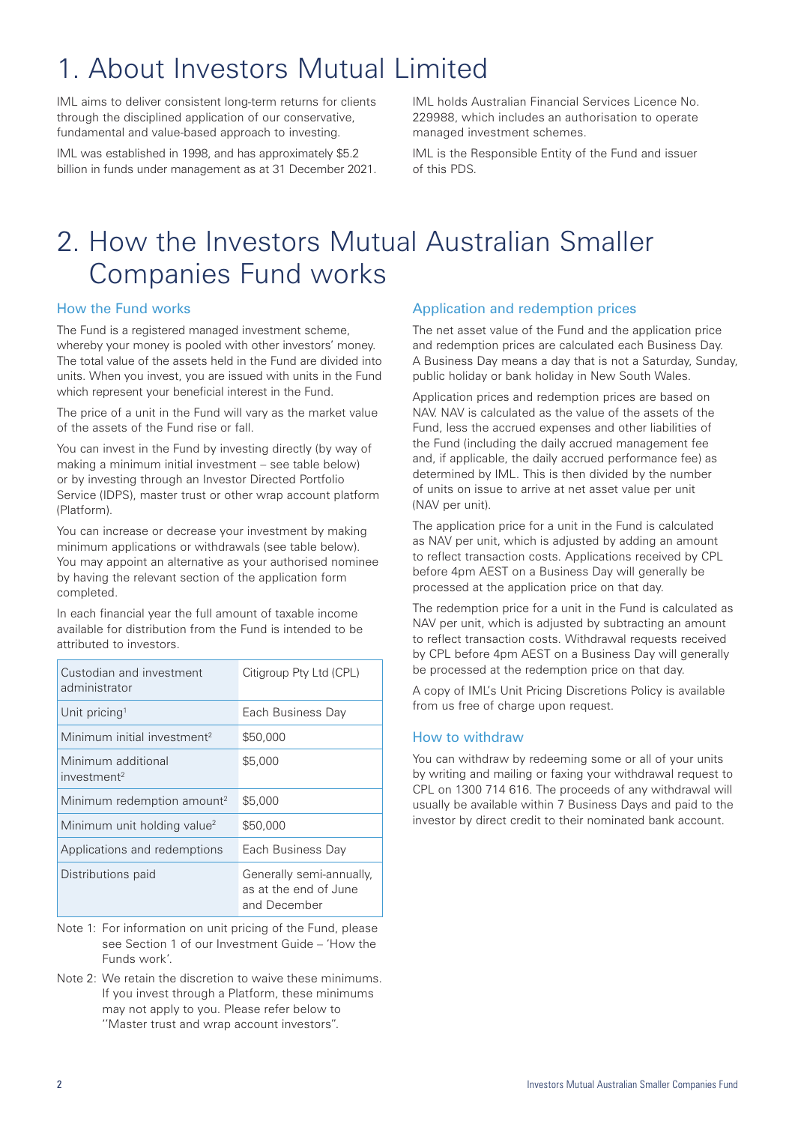# 1. About Investors Mutual Limited

IML aims to deliver consistent long-term returns for clients through the disciplined application of our conservative, fundamental and value-based approach to investing.

IML was established in 1998, and has approximately \$5.2 billion in funds under management as at 31 December 2021. IML holds Australian Financial Services Licence No. 229988, which includes an authorisation to operate managed investment schemes.

IML is the Responsible Entity of the Fund and issuer of this PDS.

### 2. How the Investors Mutual Australian Smaller Companies Fund works

#### How the Fund works

The Fund is a registered managed investment scheme, whereby your money is pooled with other investors' money. The total value of the assets held in the Fund are divided into units. When you invest, you are issued with units in the Fund which represent your beneficial interest in the Fund.

The price of a unit in the Fund will vary as the market value of the assets of the Fund rise or fall.

You can invest in the Fund by investing directly (by way of making a minimum initial investment – see table below) or by investing through an Investor Directed Portfolio Service (IDPS), master trust or other wrap account platform (Platform).

You can increase or decrease your investment by making minimum applications or withdrawals (see table below). You may appoint an alternative as your authorised nominee by having the relevant section of the application form completed.

In each financial year the full amount of taxable income available for distribution from the Fund is intended to be attributed to investors.

| Custodian and investment<br>administrator     | Citigroup Pty Ltd (CPL)                                           |
|-----------------------------------------------|-------------------------------------------------------------------|
| Unit pricing <sup>1</sup>                     | Each Business Day                                                 |
| Minimum initial investment <sup>2</sup>       | \$50,000                                                          |
| Minimum additional<br>investment <sup>2</sup> | \$5,000                                                           |
| Minimum redemption amount <sup>2</sup>        | \$5,000                                                           |
| Minimum unit holding value <sup>2</sup>       | \$50,000                                                          |
| Applications and redemptions                  | Each Business Day                                                 |
| Distributions paid                            | Generally semi-annually,<br>as at the end of June<br>and December |

- Note 1: For information on unit pricing of the Fund, please see Section 1 of our Investment Guide – 'How the Funds work'.
- Note 2: We retain the discretion to waive these minimums. If you invest through a Platform, these minimums may not apply to you. Please refer below to ''Master trust and wrap account investors".

#### Application and redemption prices

The net asset value of the Fund and the application price and redemption prices are calculated each Business Day. A Business Day means a day that is not a Saturday, Sunday, public holiday or bank holiday in New South Wales.

Application prices and redemption prices are based on NAV. NAV is calculated as the value of the assets of the Fund, less the accrued expenses and other liabilities of the Fund (including the daily accrued management fee and, if applicable, the daily accrued performance fee) as determined by IML. This is then divided by the number of units on issue to arrive at net asset value per unit (NAV per unit).

The application price for a unit in the Fund is calculated as NAV per unit, which is adjusted by adding an amount to reflect transaction costs. Applications received by CPL before 4pm AEST on a Business Day will generally be processed at the application price on that day.

The redemption price for a unit in the Fund is calculated as NAV per unit, which is adjusted by subtracting an amount to reflect transaction costs. Withdrawal requests received by CPL before 4pm AEST on a Business Day will generally be processed at the redemption price on that day.

A copy of IML's Unit Pricing Discretions Policy is available from us free of charge upon request.

#### How to withdraw

You can withdraw by redeeming some or all of your units by writing and mailing or faxing your withdrawal request to CPL on 1300 714 616. The proceeds of any withdrawal will usually be available within 7 Business Days and paid to the investor by direct credit to their nominated bank account.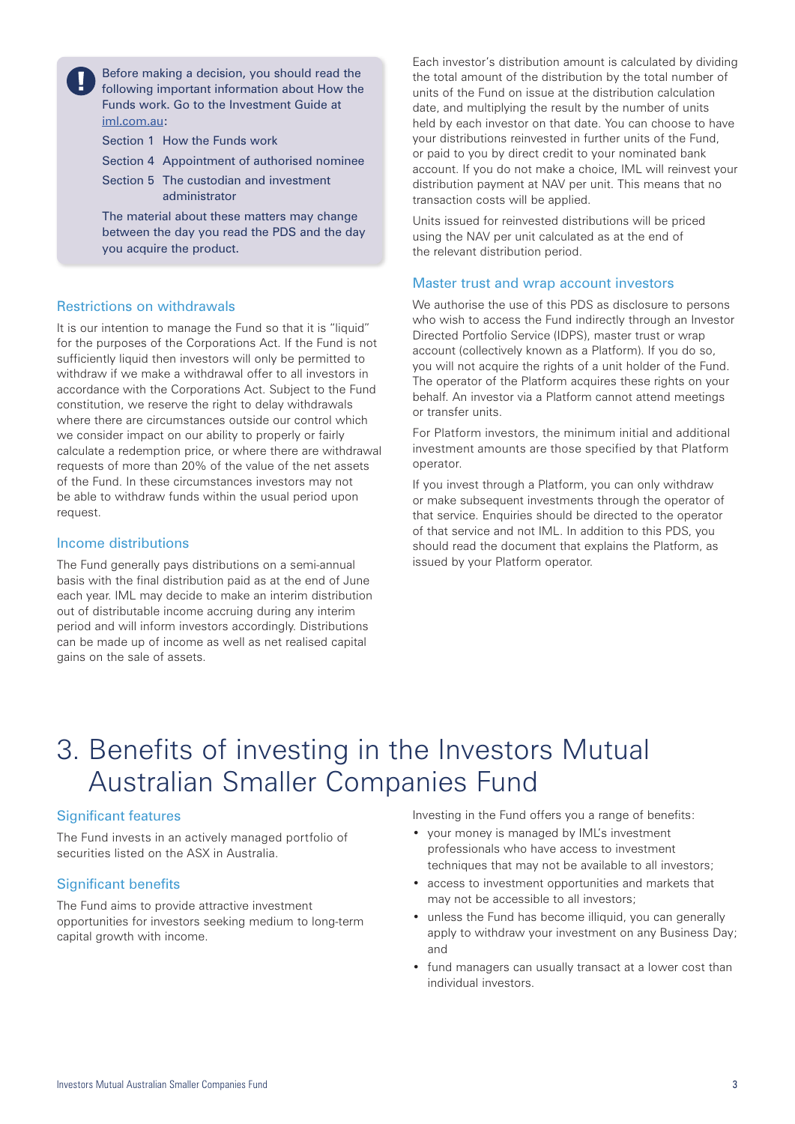Before making a decision, you should read the following important information about How the Funds work. Go to the Investment Guide at iml.com.au:

Section 1 How the Funds work

Section 4 Appointment of authorised nominee

Section 5 The custodian and investment administrator

The material about these matters may change between the day you read the PDS and the day you acquire the product.

#### Restrictions on withdrawals

It is our intention to manage the Fund so that it is "liquid" for the purposes of the Corporations Act. If the Fund is not sufficiently liquid then investors will only be permitted to withdraw if we make a withdrawal offer to all investors in accordance with the Corporations Act. Subject to the Fund constitution, we reserve the right to delay withdrawals where there are circumstances outside our control which we consider impact on our ability to properly or fairly calculate a redemption price, or where there are withdrawal requests of more than 20% of the value of the net assets of the Fund. In these circumstances investors may not be able to withdraw funds within the usual period upon request.

#### Income distributions

The Fund generally pays distributions on a semi-annual basis with the final distribution paid as at the end of June each year. IML may decide to make an interim distribution out of distributable income accruing during any interim period and will inform investors accordingly. Distributions can be made up of income as well as net realised capital gains on the sale of assets.

Each investor's distribution amount is calculated by dividing the total amount of the distribution by the total number of units of the Fund on issue at the distribution calculation date, and multiplying the result by the number of units held by each investor on that date. You can choose to have your distributions reinvested in further units of the Fund, or paid to you by direct credit to your nominated bank account. If you do not make a choice, IML will reinvest your distribution payment at NAV per unit. This means that no transaction costs will be applied.

Units issued for reinvested distributions will be priced using the NAV per unit calculated as at the end of the relevant distribution period.

#### Master trust and wrap account investors

We authorise the use of this PDS as disclosure to persons who wish to access the Fund indirectly through an Investor Directed Portfolio Service (IDPS), master trust or wrap account (collectively known as a Platform). If you do so, you will not acquire the rights of a unit holder of the Fund. The operator of the Platform acquires these rights on your behalf. An investor via a Platform cannot attend meetings or transfer units.

For Platform investors, the minimum initial and additional investment amounts are those specified by that Platform operator.

If you invest through a Platform, you can only withdraw or make subsequent investments through the operator of that service. Enquiries should be directed to the operator of that service and not IML. In addition to this PDS, you should read the document that explains the Platform, as issued by your Platform operator.

### 3. Benefits of investing in the Investors Mutual Australian Smaller Companies Fund

#### Significant features

The Fund invests in an actively managed portfolio of securities listed on the ASX in Australia.

#### Significant benefits

The Fund aims to provide attractive investment opportunities for investors seeking medium to long-term capital growth with income.

Investing in the Fund offers you a range of benefits:

- your money is managed by IML's investment professionals who have access to investment techniques that may not be available to all investors;
- access to investment opportunities and markets that may not be accessible to all investors;
- unless the Fund has become illiquid, you can generally apply to withdraw your investment on any Business Day; and
- fund managers can usually transact at a lower cost than individual investors.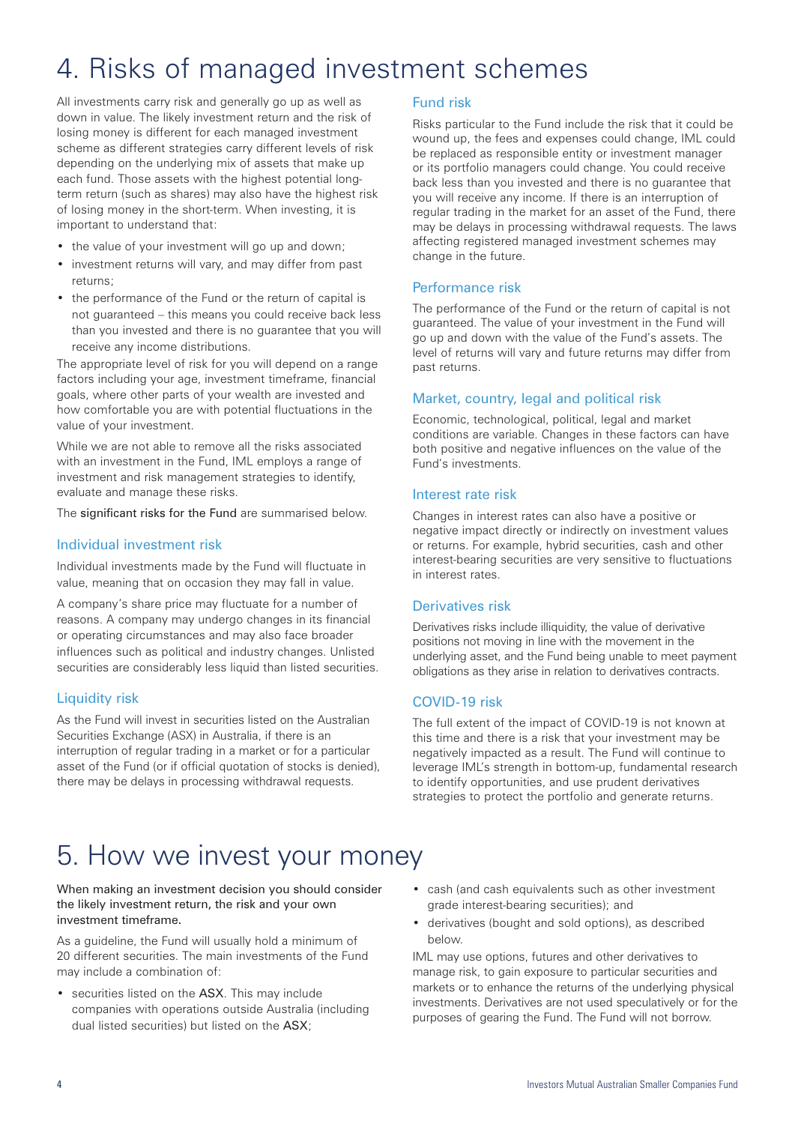# 4. Risks of managed investment schemes

All investments carry risk and generally go up as well as down in value. The likely investment return and the risk of losing money is different for each managed investment scheme as different strategies carry different levels of risk depending on the underlying mix of assets that make up each fund. Those assets with the highest potential longterm return (such as shares) may also have the highest risk of losing money in the short-term. When investing, it is important to understand that:

- the value of your investment will go up and down;
- investment returns will vary, and may differ from past returns;
- the performance of the Fund or the return of capital is not guaranteed – this means you could receive back less than you invested and there is no guarantee that you will receive any income distributions.

The appropriate level of risk for you will depend on a range factors including your age, investment timeframe, financial goals, where other parts of your wealth are invested and how comfortable you are with potential fluctuations in the value of your investment.

While we are not able to remove all the risks associated with an investment in the Fund, IML employs a range of investment and risk management strategies to identify, evaluate and manage these risks.

The significant risks for the Fund are summarised below.

#### Individual investment risk

Individual investments made by the Fund will fluctuate in value, meaning that on occasion they may fall in value.

A company's share price may fluctuate for a number of reasons. A company may undergo changes in its financial or operating circumstances and may also face broader influences such as political and industry changes. Unlisted securities are considerably less liquid than listed securities.

#### Liquidity risk

As the Fund will invest in securities listed on the Australian Securities Exchange (ASX) in Australia, if there is an interruption of regular trading in a market or for a particular asset of the Fund (or if official quotation of stocks is denied), there may be delays in processing withdrawal requests.

#### Fund risk

Risks particular to the Fund include the risk that it could be wound up, the fees and expenses could change, IML could be replaced as responsible entity or investment manager or its portfolio managers could change. You could receive back less than you invested and there is no guarantee that you will receive any income. If there is an interruption of regular trading in the market for an asset of the Fund, there may be delays in processing withdrawal requests. The laws affecting registered managed investment schemes may change in the future.

#### Performance risk

The performance of the Fund or the return of capital is not guaranteed. The value of your investment in the Fund will go up and down with the value of the Fund's assets. The level of returns will vary and future returns may differ from past returns.

#### Market, country, legal and political risk

Economic, technological, political, legal and market conditions are variable. Changes in these factors can have both positive and negative influences on the value of the Fund's investments.

#### Interest rate risk

Changes in interest rates can also have a positive or negative impact directly or indirectly on investment values or returns. For example, hybrid securities, cash and other interest-bearing securities are very sensitive to fluctuations in interest rates.

#### Derivatives risk

Derivatives risks include illiquidity, the value of derivative positions not moving in line with the movement in the underlying asset, and the Fund being unable to meet payment obligations as they arise in relation to derivatives contracts.

#### COVID-19 risk

The full extent of the impact of COVID-19 is not known at this time and there is a risk that your investment may be negatively impacted as a result. The Fund will continue to leverage IML's strength in bottom-up, fundamental research to identify opportunities, and use prudent derivatives strategies to protect the portfolio and generate returns.

### 5. How we invest your money

#### When making an investment decision you should consider the likely investment return, the risk and your own investment timeframe.

As a guideline, the Fund will usually hold a minimum of 20 different securities. The main investments of the Fund may include a combination of:

- securities listed on the ASX. This may include companies with operations outside Australia (including dual listed securities) but listed on the ASX;
- cash (and cash equivalents such as other investment grade interest-bearing securities); and
- derivatives (bought and sold options), as described below.

IML may use options, futures and other derivatives to manage risk, to gain exposure to particular securities and markets or to enhance the returns of the underlying physical investments. Derivatives are not used speculatively or for the purposes of gearing the Fund. The Fund will not borrow.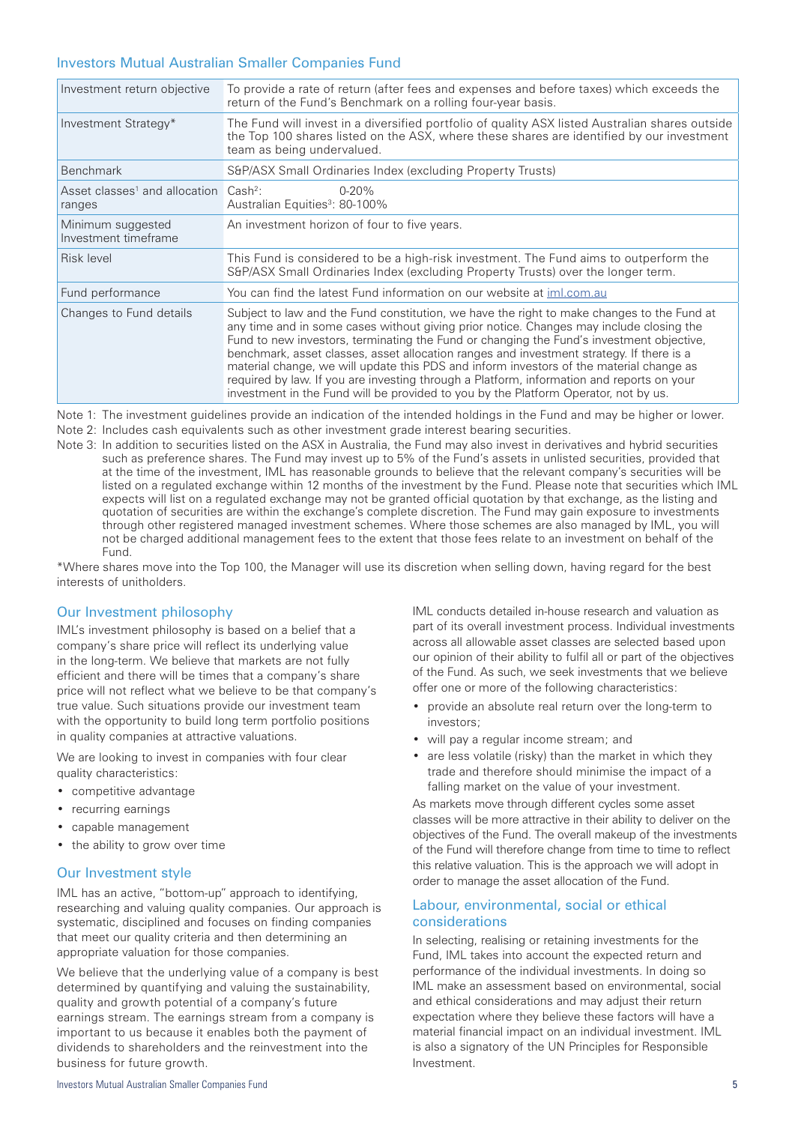#### Investors Mutual Australian Smaller Companies Fund

| Investment return objective                                             | To provide a rate of return (after fees and expenses and before taxes) which exceeds the<br>return of the Fund's Benchmark on a rolling four-year basis.                                                                                                                                                                                                                                                                                                                                                                                                                                                                                                     |
|-------------------------------------------------------------------------|--------------------------------------------------------------------------------------------------------------------------------------------------------------------------------------------------------------------------------------------------------------------------------------------------------------------------------------------------------------------------------------------------------------------------------------------------------------------------------------------------------------------------------------------------------------------------------------------------------------------------------------------------------------|
| Investment Strategy*                                                    | The Fund will invest in a diversified portfolio of quality ASX listed Australian shares outside<br>the Top 100 shares listed on the ASX, where these shares are identified by our investment<br>team as being undervalued.                                                                                                                                                                                                                                                                                                                                                                                                                                   |
| <b>Benchmark</b>                                                        | S&P/ASX Small Ordinaries Index (excluding Property Trusts)                                                                                                                                                                                                                                                                                                                                                                                                                                                                                                                                                                                                   |
| Asset classes <sup>1</sup> and allocation Cash <sup>2</sup> :<br>ranges | $0 - 20%$<br>Australian Equities <sup>3</sup> : 80-100%                                                                                                                                                                                                                                                                                                                                                                                                                                                                                                                                                                                                      |
| Minimum suggested<br>Investment timeframe                               | An investment horizon of four to five years.                                                                                                                                                                                                                                                                                                                                                                                                                                                                                                                                                                                                                 |
| Risk level                                                              | This Fund is considered to be a high-risk investment. The Fund aims to outperform the<br>S&P/ASX Small Ordinaries Index (excluding Property Trusts) over the longer term.                                                                                                                                                                                                                                                                                                                                                                                                                                                                                    |
| Fund performance                                                        | You can find the latest Fund information on our website at iml.com.au                                                                                                                                                                                                                                                                                                                                                                                                                                                                                                                                                                                        |
| Changes to Fund details                                                 | Subject to law and the Fund constitution, we have the right to make changes to the Fund at<br>any time and in some cases without giving prior notice. Changes may include closing the<br>Fund to new investors, terminating the Fund or changing the Fund's investment objective,<br>benchmark, asset classes, asset allocation ranges and investment strategy. If there is a<br>material change, we will update this PDS and inform investors of the material change as<br>required by law. If you are investing through a Platform, information and reports on your<br>investment in the Fund will be provided to you by the Platform Operator, not by us. |

Note 1: The investment guidelines provide an indication of the intended holdings in the Fund and may be higher or lower. Note 2: Includes cash equivalents such as other investment grade interest bearing securities.

Note 3: In addition to securities listed on the ASX in Australia, the Fund may also invest in derivatives and hybrid securities such as preference shares. The Fund may invest up to 5% of the Fund's assets in unlisted securities, provided that at the time of the investment, IML has reasonable grounds to believe that the relevant company's securities will be listed on a regulated exchange within 12 months of the investment by the Fund. Please note that securities which IML expects will list on a regulated exchange may not be granted official quotation by that exchange, as the listing and quotation of securities are within the exchange's complete discretion. The Fund may gain exposure to investments through other registered managed investment schemes. Where those schemes are also managed by IML, you will not be charged additional management fees to the extent that those fees relate to an investment on behalf of the Fund.

\*Where shares move into the Top 100, the Manager will use its discretion when selling down, having regard for the best interests of unitholders.

#### Our Investment philosophy

IML's investment philosophy is based on a belief that a company's share price will reflect its underlying value in the long-term. We believe that markets are not fully efficient and there will be times that a company's share price will not reflect what we believe to be that company's true value. Such situations provide our investment team with the opportunity to build long term portfolio positions in quality companies at attractive valuations.

We are looking to invest in companies with four clear quality characteristics:

- competitive advantage
- recurring earnings
- capable management
- the ability to grow over time

#### Our Investment style

IML has an active, "bottom-up" approach to identifying, researching and valuing quality companies. Our approach is systematic, disciplined and focuses on finding companies that meet our quality criteria and then determining an appropriate valuation for those companies.

We believe that the underlying value of a company is best determined by quantifying and valuing the sustainability, quality and growth potential of a company's future earnings stream. The earnings stream from a company is important to us because it enables both the payment of dividends to shareholders and the reinvestment into the business for future growth.

falling market on the value of your investment. As markets move through different cycles some asset classes will be more attractive in their ability to deliver on the objectives of the Fund. The overall makeup of the investments of the Fund will therefore change from time to time to reflect this relative valuation. This is the approach we will adopt in

investors;

#### Labour, environmental, social or ethical considerations

order to manage the asset allocation of the Fund.

In selecting, realising or retaining investments for the Fund, IML takes into account the expected return and performance of the individual investments. In doing so IML make an assessment based on environmental, social and ethical considerations and may adjust their return expectation where they believe these factors will have a material financial impact on an individual investment. IML is also a signatory of the UN Principles for Responsible Investment.

IML conducts detailed in-house research and valuation as part of its overall investment process. Individual investments across all allowable asset classes are selected based upon our opinion of their ability to fulfil all or part of the objectives of the Fund. As such, we seek investments that we believe

• provide an absolute real return over the long-term to

• are less volatile (risky) than the market in which they trade and therefore should minimise the impact of a

offer one or more of the following characteristics:

• will pay a regular income stream; and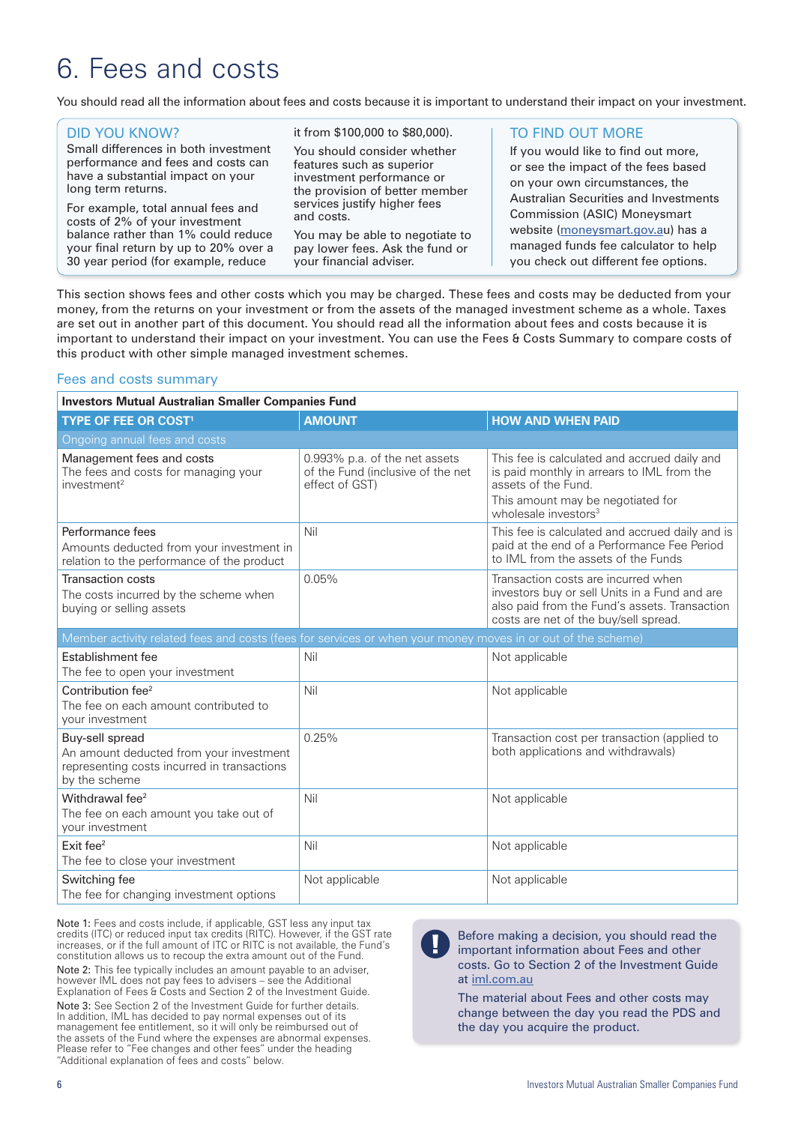### 6. Fees and costs

You should read all the information about fees and costs because it is important to understand their impact on your investment.

| <b>DID YOU KNOW?</b>                                                                                                                  | it from \$100,000 to \$80,000).                                                                                                                                       | TO FIND OUT MORE                                                                                                                                                                                                                                                                                           |
|---------------------------------------------------------------------------------------------------------------------------------------|-----------------------------------------------------------------------------------------------------------------------------------------------------------------------|------------------------------------------------------------------------------------------------------------------------------------------------------------------------------------------------------------------------------------------------------------------------------------------------------------|
| Small differences in both investment<br>performance and fees and costs can<br>have a substantial impact on your<br>long term returns. | You should consider whether<br>features such as superior<br>investment performance or<br>the provision of better member<br>services justify higher fees<br>and costs. | If you would like to find out more,<br>or see the impact of the fees based<br>on your own circumstances, the<br>Australian Securities and Investments<br>Commission (ASIC) Moneysmart<br>website (moneysmart.gov.au) has a<br>managed funds fee calculator to help<br>you check out different fee options. |
| For example, total annual fees and<br>costs of 2% of your investment                                                                  |                                                                                                                                                                       |                                                                                                                                                                                                                                                                                                            |
| balance rather than 1% could reduce<br>your final return by up to 20% over a<br>30 year period (for example, reduce                   | You may be able to negotiate to<br>pay lower fees. Ask the fund or<br>your financial adviser.                                                                         |                                                                                                                                                                                                                                                                                                            |
|                                                                                                                                       |                                                                                                                                                                       |                                                                                                                                                                                                                                                                                                            |

This section shows fees and other costs which you may be charged. These fees and costs may be deducted from your money, from the returns on your investment or from the assets of the managed investment scheme as a whole. Taxes are set out in another part of this document. You should read all the information about fees and costs because it is important to understand their impact on your investment. You can use the Fees & Costs Summary to compare costs of this product with other simple managed investment schemes.

#### Fees and costs summary

| <b>Investors Mutual Australian Smaller Companies Fund</b>                                                                  |                                                                                      |                                                                                                                                                                                            |  |
|----------------------------------------------------------------------------------------------------------------------------|--------------------------------------------------------------------------------------|--------------------------------------------------------------------------------------------------------------------------------------------------------------------------------------------|--|
| <b>TYPE OF FEE OR COST!</b>                                                                                                | <b>AMOUNT</b>                                                                        | <b>HOW AND WHEN PAID</b>                                                                                                                                                                   |  |
| Ongoing annual fees and costs                                                                                              |                                                                                      |                                                                                                                                                                                            |  |
| Management fees and costs<br>The fees and costs for managing your<br>investment <sup>2</sup>                               | 0.993% p.a. of the net assets<br>of the Fund (inclusive of the net<br>effect of GST) | This fee is calculated and accrued daily and<br>is paid monthly in arrears to IML from the<br>assets of the Fund.<br>This amount may be negotiated for<br>wholesale investors <sup>3</sup> |  |
| Performance fees<br>Amounts deducted from your investment in<br>relation to the performance of the product                 | Nil                                                                                  | This fee is calculated and accrued daily and is<br>paid at the end of a Performance Fee Period<br>to IML from the assets of the Funds                                                      |  |
| <b>Transaction costs</b><br>The costs incurred by the scheme when<br>buying or selling assets                              | 0.05%                                                                                | Transaction costs are incurred when<br>investors buy or sell Units in a Fund and are<br>also paid from the Fund's assets. Transaction<br>costs are net of the buy/sell spread.             |  |
| Member activity related fees and costs (fees for services or when your money moves in or out of the scheme)                |                                                                                      |                                                                                                                                                                                            |  |
| Establishment fee<br>The fee to open your investment                                                                       | Nil                                                                                  | Not applicable                                                                                                                                                                             |  |
| Contribution fee <sup>2</sup><br>The fee on each amount contributed to<br>your investment                                  | Nil                                                                                  | Not applicable                                                                                                                                                                             |  |
| Buy-sell spread<br>An amount deducted from your investment<br>representing costs incurred in transactions<br>by the scheme | 0.25%                                                                                | Transaction cost per transaction (applied to<br>both applications and withdrawals)                                                                                                         |  |
| Withdrawal fee <sup>2</sup><br>The fee on each amount you take out of<br>your investment                                   | Nil                                                                                  | Not applicable                                                                                                                                                                             |  |
| Exit fee <sup>2</sup><br>The fee to close your investment                                                                  | Nil                                                                                  | Not applicable                                                                                                                                                                             |  |
| Switching fee<br>The fee for changing investment options                                                                   | Not applicable                                                                       | Not applicable                                                                                                                                                                             |  |

Note 1: Fees and costs include, if applicable, GST less any input tax credits (ITC) or reduced input tax credits (RITC). However, if the GST rate increases, or if the full amount of ITC or RITC is not available, the Fund's constitution allows us to recoup the extra amount out of the Fund. Note 2: This fee typically includes an amount payable to an adviser,

however IML does not pay fees to advisers – see the Additional Explanation of Fees & Costs and Section 2 of the Investment Guide.

Note 3: See Section 2 of the Investment Guide for further details. In addition, IML has decided to pay normal expenses out of its management fee entitlement, so it will only be reimbursed out of the assets of the Fund where the expenses are abnormal expenses. Please refer to "Fee changes and other fees" under the heading "Additional explanation of fees and costs" below.

Before making a decision, you should read the important information about Fees and other costs. Go to Section 2 of the Investment Guide at iml.com.au

The material about Fees and other costs may change between the day you read the PDS and the day you acquire the product.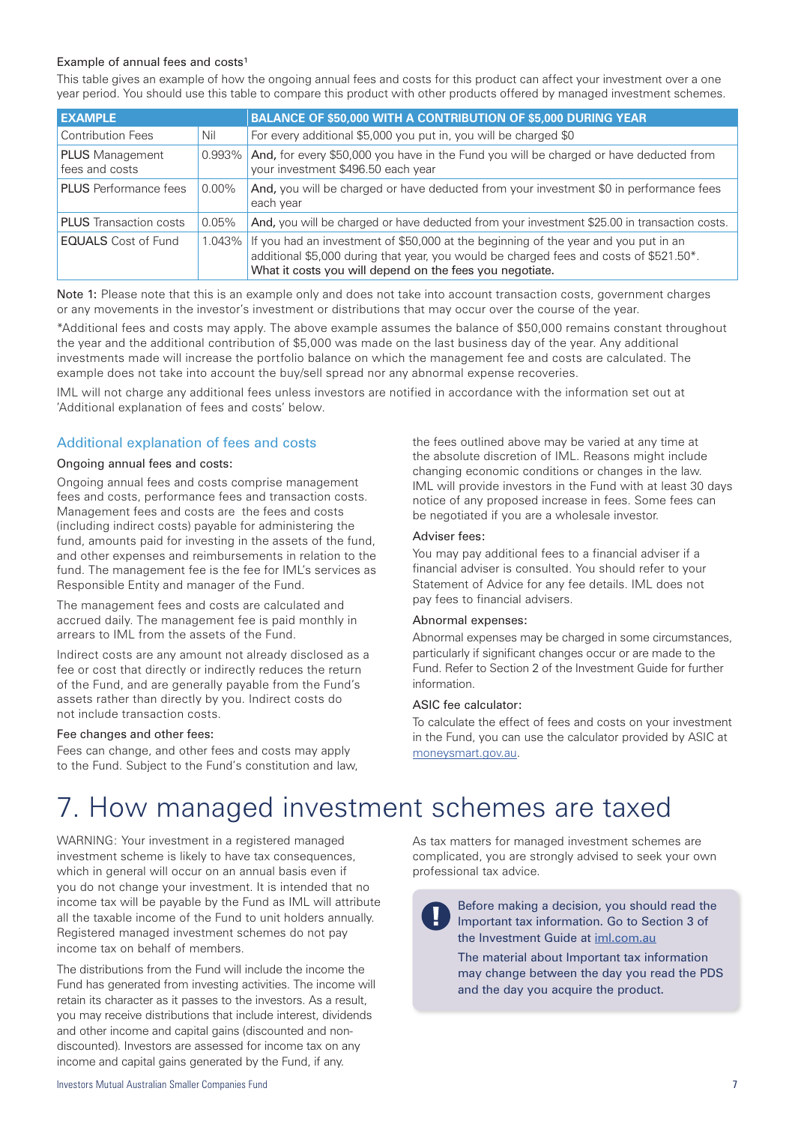#### Example of annual fees and  $costs<sup>1</sup>$

This table gives an example of how the ongoing annual fees and costs for this product can affect your investment over a one year period. You should use this table to compare this product with other products offered by managed investment schemes.

| <b>EXAMPLE</b>                           |           | <b>BALANCE OF \$50,000 WITH A CONTRIBUTION OF \$5,000 DURING YEAR</b>                                                                                                                                                                     |
|------------------------------------------|-----------|-------------------------------------------------------------------------------------------------------------------------------------------------------------------------------------------------------------------------------------------|
| <b>Contribution Fees</b>                 | Nil       | For every additional \$5,000 you put in, you will be charged \$0                                                                                                                                                                          |
| <b>PLUS</b> Management<br>fees and costs | $0.993\%$ | And, for every \$50,000 you have in the Fund you will be charged or have deducted from<br>your investment \$496.50 each year                                                                                                              |
| <b>PLUS</b> Performance fees             | $0.00\%$  | And, you will be charged or have deducted from your investment \$0 in performance fees<br>each year                                                                                                                                       |
| <b>PLUS</b> Transaction costs            | 0.05%     | And, you will be charged or have deducted from your investment \$25.00 in transaction costs.                                                                                                                                              |
| <b>EQUALS</b> Cost of Fund               | $1.043\%$ | If you had an investment of \$50,000 at the beginning of the year and you put in an<br>additional \$5,000 during that year, you would be charged fees and costs of \$521.50*.<br>What it costs you will depend on the fees you negotiate. |

Note 1: Please note that this is an example only and does not take into account transaction costs, government charges or any movements in the investor's investment or distributions that may occur over the course of the year.

\*Additional fees and costs may apply. The above example assumes the balance of \$50,000 remains constant throughout the year and the additional contribution of \$5,000 was made on the last business day of the year. Any additional investments made will increase the portfolio balance on which the management fee and costs are calculated. The example does not take into account the buy/sell spread nor any abnormal expense recoveries.

IML will not charge any additional fees unless investors are notified in accordance with the information set out at 'Additional explanation of fees and costs' below.

#### Additional explanation of fees and costs

#### Ongoing annual fees and costs:

Ongoing annual fees and costs comprise management fees and costs, performance fees and transaction costs. Management fees and costs are the fees and costs (including indirect costs) payable for administering the fund, amounts paid for investing in the assets of the fund, and other expenses and reimbursements in relation to the fund. The management fee is the fee for IML's services as Responsible Entity and manager of the Fund.

The management fees and costs are calculated and accrued daily. The management fee is paid monthly in arrears to IML from the assets of the Fund.

Indirect costs are any amount not already disclosed as a fee or cost that directly or indirectly reduces the return of the Fund, and are generally payable from the Fund's assets rather than directly by you. Indirect costs do not include transaction costs.

#### Fee changes and other fees:

Fees can change, and other fees and costs may apply to the Fund. Subject to the Fund's constitution and law,

the fees outlined above may be varied at any time at the absolute discretion of IML. Reasons might include changing economic conditions or changes in the law. IML will provide investors in the Fund with at least 30 days notice of any proposed increase in fees. Some fees can be negotiated if you are a wholesale investor.

#### Adviser fees:

You may pay additional fees to a financial adviser if a financial adviser is consulted. You should refer to your Statement of Advice for any fee details. IML does not pay fees to financial advisers.

#### Abnormal expenses:

Abnormal expenses may be charged in some circumstances, particularly if significant changes occur or are made to the Fund. Refer to Section 2 of the Investment Guide for further information.

#### ASIC fee calculator:

To calculate the effect of fees and costs on your investment in the Fund, you can use the calculator provided by ASIC at moneysmart.gov.au.

### 7. How managed investment schemes are taxed

WARNING: Your investment in a registered managed investment scheme is likely to have tax consequences, which in general will occur on an annual basis even if you do not change your investment. It is intended that no income tax will be payable by the Fund as IML will attribute all the taxable income of the Fund to unit holders annually. Registered managed investment schemes do not pay income tax on behalf of members.

The distributions from the Fund will include the income the Fund has generated from investing activities. The income will retain its character as it passes to the investors. As a result, you may receive distributions that include interest, dividends and other income and capital gains (discounted and nondiscounted). Investors are assessed for income tax on any income and capital gains generated by the Fund, if any.

As tax matters for managed investment schemes are complicated, you are strongly advised to seek your own professional tax advice.

Before making a decision, you should read the Important tax information. Go to Section 3 of the Investment Guide at iml.com.au

The material about Important tax information may change between the day you read the PDS and the day you acquire the product.